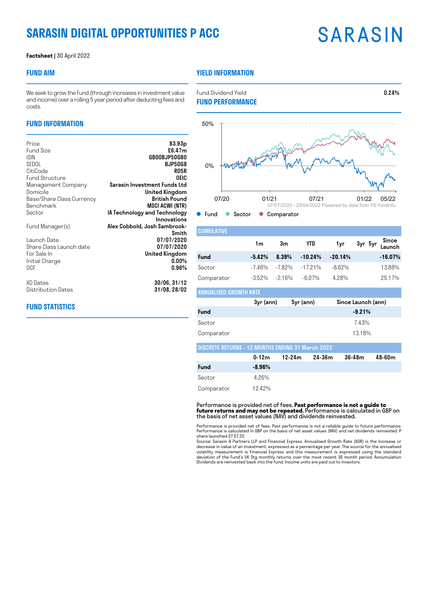### **SARASIN DIGITAL OPPORTUNITIES P ACC**

#### **Factsheet |** 30 April 2022

### **FUND AIM**

### **YIELD INFORMATION**

**FUND PERFORMANCE**

We seek to grow the Fund (through increases in investment value and income) over a rolling 5 year period after deducting fees and costs.

### **FUND INFORMATION**

| 83.93 <sub>p</sub><br>£6.47m                |
|---------------------------------------------|
| GB00BJP50G80                                |
| <b>BJP50G8</b>                              |
| <b>RO5R</b>                                 |
| OEIC                                        |
| Sarasin Investment Funds Ltd                |
| United Kingdom<br><b>British Pound</b>      |
|                                             |
| <b>MSCI ACWI (NTR)</b>                      |
| IA Technology and Technology<br>Innovations |
| Alex Cobbold, Josh Sambrook-                |
| Smith                                       |
| 07/07/2020                                  |
| 07/07/2020                                  |
| United Kingdom                              |
| $0.00\%$                                    |
| 0.96%                                       |
| 30/06, 31/12                                |
| 31/08, 28/02                                |
|                                             |

### **FUND STATISTICS**



| <b>CUMULATIVE</b> |           |        |            |           |                         |
|-------------------|-----------|--------|------------|-----------|-------------------------|
|                   | 1m        | 3m     | <b>YTD</b> | 1yr       | 3yr 5yr Since<br>Launch |
| <b>Fund</b>       | $-5.42%$  | 8.39%  | $-10.24%$  | $-20.14%$ | $-16.07%$               |
| Sector            | -746%     | -7.82% | $-1721%$   | $-8.62\%$ | 13.88%                  |
| Comparator        | $-3.52\%$ | -2.16% | $-6.07\%$  | 4.28%     | 25.17%                  |

|                                                          | 3yr (ann) | 5yr (ann)  |        | Since Launch (ann) |        |
|----------------------------------------------------------|-----------|------------|--------|--------------------|--------|
| <b>Fund</b>                                              |           |            |        | $-9.21%$           |        |
| Sector                                                   |           |            |        | 7.43%              |        |
| Comparator                                               |           |            |        | 13.18%             |        |
| <b>DISCRETE RETURNS - 12 MONTHS ENDING 31 March 2022</b> |           |            |        |                    |        |
|                                                          | $0 - 12m$ | $12 - 24m$ | 24-36m | $36 - 48m$         | 48-60m |
| Fund                                                     | $-8.96%$  |            |        |                    |        |
| Sector                                                   | 4.26%     |            |        |                    |        |
|                                                          | $\cdots$  |            |        |                    |        |

Comparator 12.42%

ANNUALISED GROWTH RATE

Performance is provided net of fees. **Past performance is not a guide to future returns and may not be repeated.** Performance is calculated in GBP on the basis of net asset values (NAV) and dividends reinvested.

Performance is provided net of fees. Past performance is not a reliable guide to future performance.<br>Performance is calculated in GBP on the basis of net asset values (NAV) and net dividends reinvested. P<br>share launched 07

Source: Sarasin & Partners LLP and Financial Express. Annualised Growth Rate (AGR) is the increase or decrease in value of an investment, expressed as a percentage per year. The source for the annualised<br>volatility measurement is Financial Express and this measurement is expressed using the standard<br>deviation of the Fund's

## **SARASIN**

Fund Dividend Yield **0.24%**